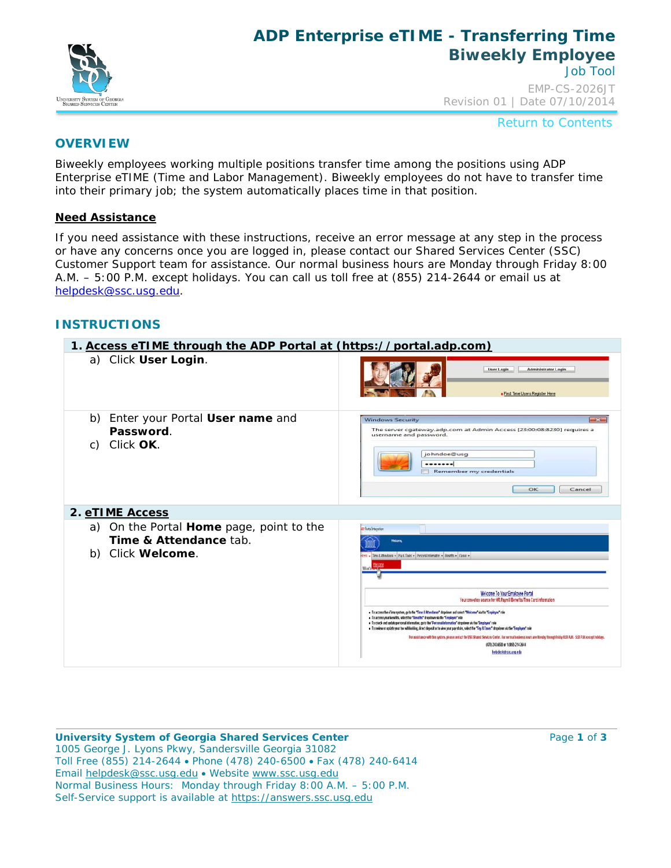

## **ADP Enterprise eTIME - Transferring Time Biweekly Employee** Job Tool

EMP-CS-2026JT Revision 01 | Date 07/10/2014

Return to Contents

### **OVERVIEW**

Biweekly employees working multiple positions transfer time among the positions using ADP Enterprise eTIME (Time and Labor Management). Biweekly employees do not have to transfer time into their primary job; the system automatically places time in that position.

#### **Need Assistance**

If you need assistance with these instructions, receive an error message at any step in the process or have any concerns once you are logged in, please contact our Shared Services Center (SSC) Customer Support team for assistance. Our normal business hours are Monday through Friday 8:00 A.M. – 5:00 P.M. except holidays. You can call us toll free at (855) 214-2644 or email us at [helpdesk@ssc.usg.edu.](mailto:helpdesk@ssc.usg.edu)

### **INSTRUCTIONS**

| 1. Access eTIME through the ADP Portal at (https://portal.adp.com)                         |                                                                                                                                                                                                                                                                                                                                                                                                                                                                                                                                                                                                                                                                                                                                                                                                |  |  |  |  |
|--------------------------------------------------------------------------------------------|------------------------------------------------------------------------------------------------------------------------------------------------------------------------------------------------------------------------------------------------------------------------------------------------------------------------------------------------------------------------------------------------------------------------------------------------------------------------------------------------------------------------------------------------------------------------------------------------------------------------------------------------------------------------------------------------------------------------------------------------------------------------------------------------|--|--|--|--|
| a) Click User Login.                                                                       | User Login<br>Administrator Login<br>· First Time Users Register Here                                                                                                                                                                                                                                                                                                                                                                                                                                                                                                                                                                                                                                                                                                                          |  |  |  |  |
| b) Enter your Portal User name and<br>Password.<br>c) Click OK.                            | <b>Windows Security</b><br>$\rightarrow$<br>The server cgateway.adp.com at Admin Access [23:00:08:8230] requires a<br>username and password.<br>johndoe@usg<br><br>Remember my credentials<br>OK<br>Cancel                                                                                                                                                                                                                                                                                                                                                                                                                                                                                                                                                                                     |  |  |  |  |
| 2. eTIME Access                                                                            |                                                                                                                                                                                                                                                                                                                                                                                                                                                                                                                                                                                                                                                                                                                                                                                                |  |  |  |  |
| On the Portal Home page, point to the<br>a)<br>Time & Attendance tab.<br>b) Click Welcome. | D Portal Integration<br><b>Welcome</b><br>erre - Time Althedatos - Pará Toes - Personalistamatos - Benetts - Canac -<br>Welcome To Your Employee Portal                                                                                                                                                                                                                                                                                                                                                                                                                                                                                                                                                                                                                                        |  |  |  |  |
|                                                                                            | Your one-stop source for HR Payroll Benefits/Time Card information<br>. To access the elime system, go to the "Time & Attendance" dropdown and select "Weicome" stative "Employee" role<br>. To access your benefits, select the "Benefits" draptitum via the "Employee" role<br>. To check and update personal information, go to the "Personal information" dropdown via the "Employee" role<br>. To review or update your tax withholding, direct deposit or to view your pay stubs, select the "Pay & Taxes" droptions via the "Employee" rule<br>For assistance with this system, piease centact the USS Shared Services Center. Our normal business hours are Monday through Friday 8:00 A.M. - 5:00 P.M. except holidays.<br>(478) 243 6530 or 1 (855) 214 2644<br>belpdeskØsscusse.edu |  |  |  |  |

**University System of Georgia Shared Services Center Page 1** of **3 Page 1** of **3** 1005 George J. Lyons Pkwy, Sandersville Georgia 31082 Toll Free (855) 214-2644 • Phone (478) 240-6500 • Fax (478) 240-6414 Email [helpdesk@ssc.usg.edu](mailto:helpdesk@ssc.usg.edu) • Website [www.ssc.usg.edu](http://www.ssc.usg.edu/) Normal Business Hours: Monday through Friday 8:00 A.M. – 5:00 P.M. Self-Service support is available at [https://answers.ssc.usg.edu](https://answers.ssc.usg.edu/)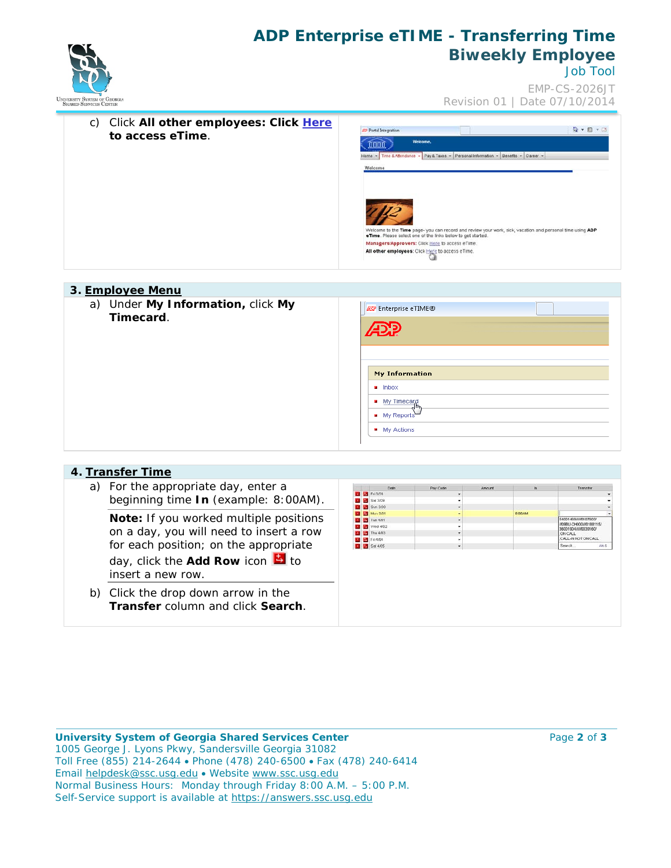

# **ADP Enterprise eTIME - Transferring Time Biweekly Employee**

Job Tool

EMP-CS-2026JT Revision 01 | Date 07/10/2014



# a) Under **My Information,** click **My EP** Enterprise eTIME® **Timecard**. My Information  $\blacksquare$  Inbox  $\blacksquare$  My Timecard My Reports  $\blacksquare$  My Actions **4. Transfer Time**

| a) For the appropriate day, enter a<br>Pay Code<br><b>Date</b><br>$\ln$<br>Transfer<br>Amount<br><b>EX EX Fri 3/28</b><br>beginning time In (example: 8:00AM).<br>Sat 3/29<br><b>M</b> Sun 3/30<br>Mon 3/31<br>8.004M<br>Note: If you worked multiple positions<br>54001469/W0107803/<br><b>EX</b> Tue 4/01<br>/09BU-CH000/W0188115/<br><b>Med 4/02</b><br>36001904/W/0039160/<br>on a day, you will need to insert a row<br><b>Ed</b> Thu 4/03<br>ON CALL<br>CALL-IN NOT ON CALL<br><b>EX EX Fri 4/04</b><br>for each position; on the appropriate<br>E Sot 4/05<br>Search.<br>day, click the <b>Add Row</b> icon $\blacksquare$ to<br>insert a new row. | 4. Iranster lime |  |  |      |
|-----------------------------------------------------------------------------------------------------------------------------------------------------------------------------------------------------------------------------------------------------------------------------------------------------------------------------------------------------------------------------------------------------------------------------------------------------------------------------------------------------------------------------------------------------------------------------------------------------------------------------------------------------------|------------------|--|--|------|
|                                                                                                                                                                                                                                                                                                                                                                                                                                                                                                                                                                                                                                                           |                  |  |  |      |
|                                                                                                                                                                                                                                                                                                                                                                                                                                                                                                                                                                                                                                                           |                  |  |  | AH-S |